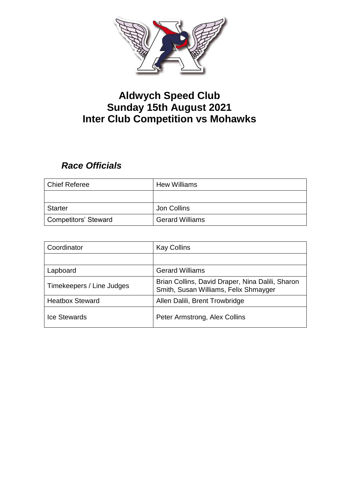

## **Aldwych Speed Club Sunday 15th August 2021 Inter Club Competition vs Mohawks**

## *Race Officials*

| <b>Chief Referee</b> | <b>Hew Williams</b>    |
|----------------------|------------------------|
|                      |                        |
| <b>Starter</b>       | Jon Collins            |
| Competitors' Steward | <b>Gerard Williams</b> |

| Coordinator               | <b>Kay Collins</b>                                                                        |
|---------------------------|-------------------------------------------------------------------------------------------|
|                           |                                                                                           |
| Lapboard                  | <b>Gerard Williams</b>                                                                    |
| Timekeepers / Line Judges | Brian Collins, David Draper, Nina Dalili, Sharon<br>Smith, Susan Williams, Felix Shmayger |
| <b>Heatbox Steward</b>    | Allen Dalili, Brent Trowbridge                                                            |
| <b>Ice Stewards</b>       | Peter Armstrong, Alex Collins                                                             |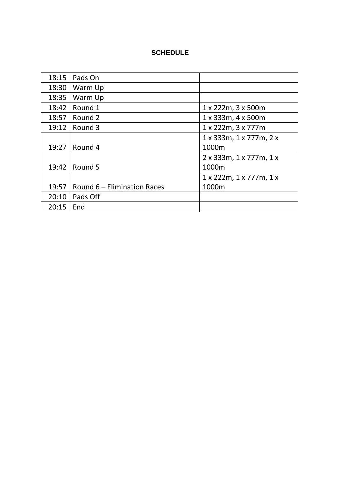## **SCHEDULE**

| 18:15 | Pads On                     |                                    |
|-------|-----------------------------|------------------------------------|
| 18:30 | Warm Up                     |                                    |
| 18:35 | Warm Up                     |                                    |
| 18:42 | Round 1                     | 1 x 222m, 3 x 500m                 |
| 18:57 | Round 2                     | $1 \times 333$ m, $4 \times 500$ m |
| 19:12 | Round 3                     | 1 x 222m, 3 x 777m                 |
|       |                             | 1 x 333m, 1 x 777m, 2 x            |
| 19:27 | Round 4                     | 1000m                              |
|       |                             | 2x333m, 1x777m, 1x                 |
| 19:42 | Round 5                     | 1000m                              |
|       |                             | 1 x 222m, 1 x 777m, 1 x            |
| 19:57 | Round 6 - Elimination Races | 1000m                              |
| 20:10 | Pads Off                    |                                    |
| 20:15 | End                         |                                    |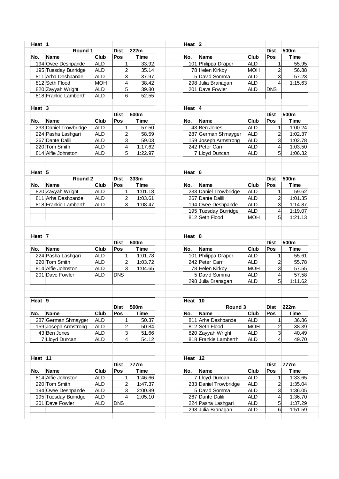| Heat $ 1$           |                       |             |                         |             | Heat $ 2 $          |                                          |                          |                |                                                                |
|---------------------|-----------------------|-------------|-------------------------|-------------|---------------------|------------------------------------------|--------------------------|----------------|----------------------------------------------------------------|
|                     | Round 1               |             | <b>Dist</b>             | 222m        |                     |                                          |                          | <b>Dist</b>    | 500m                                                           |
| No.                 | <b>Name</b>           | <b>Club</b> | Pos                     | <b>Time</b> | No.                 | <b>Name</b>                              | <b>Club</b>              | Pos            | <b>Time</b>                                                    |
|                     | 194 Ovee Deshpande    | <b>ALD</b>  | $\mathbf{1}$            | 33.92       |                     | 101 Philippa Draper                      | <b>ALD</b>               | 1              | 55.95                                                          |
|                     | 195 Tuesday Burridge  | <b>ALD</b>  | $\overline{c}$          | 35.14       |                     | 78 Helen Kirkby                          | <b>MOH</b>               | 2              | 56.88                                                          |
|                     | 811 Arha Deshpande    | <b>ALD</b>  | 3                       | 37.97       |                     | 5 David Somma                            | <b>ALD</b>               | 3              | 57.23                                                          |
|                     | 812 Seth Flood        | <b>MOH</b>  | 4                       | 38.42       |                     | 298 Julia Branagan                       | <b>ALD</b>               | 4              | 1:15.63                                                        |
|                     | 820 Zayyah Wright     | <b>ALD</b>  | 5                       | 39.80       |                     | 201 Dave Fowler                          | <b>ALD</b>               | <b>DNS</b>     |                                                                |
|                     | 818 Frankie Lamberth  | <b>ALD</b>  | 6                       | 52.55       |                     |                                          |                          |                |                                                                |
|                     |                       |             |                         |             |                     |                                          |                          |                |                                                                |
| Heat $ 3 $          |                       |             |                         |             | Heat 4              |                                          |                          |                |                                                                |
|                     |                       |             | <b>Dist</b>             | 500m        |                     |                                          |                          | <b>Dist</b>    | 500m                                                           |
| No.                 | <b>Name</b>           | <b>Club</b> | Pos                     | Time        | No.                 | <b>Name</b>                              | <b>Club</b>              | Pos            | <b>Time</b>                                                    |
|                     | 233 Daniel Trowbridge | <b>ALD</b>  | $\mathbf{1}$            | 57.50       |                     | 43 Ben Jones                             | <b>ALD</b>               | 1              | 1:00.24                                                        |
|                     | 224 Pasha Lashgari    | <b>ALD</b>  | $\overline{\mathbf{c}}$ | 58.59       |                     | 287 German Shmayger                      | <b>ALD</b>               | $\overline{c}$ | 1:02.37                                                        |
|                     | 267 Dante Dalili      | <b>ALD</b>  | 3                       | 59.03       |                     | 159 Joseph Armstrong                     | <b>ALD</b>               | 3              | 1:02.78                                                        |
|                     | 220 Tom Smith         | <b>ALD</b>  | 4                       | 1:17.62     |                     | 242 Peter Carr                           | <b>ALD</b>               | 4              | 1:03.50                                                        |
|                     | 814 Alfie Johnston    | <b>ALD</b>  | 5                       | 1:22.97     |                     | 7 Lloyd Duncan                           | <b>ALD</b>               | 5              | 1:06.32                                                        |
|                     |                       |             |                         |             |                     |                                          |                          |                |                                                                |
|                     |                       |             |                         |             |                     |                                          |                          |                |                                                                |
| Heat $\overline{5}$ |                       |             |                         |             | Heat $\overline{6}$ |                                          |                          |                |                                                                |
|                     | Round 2               |             | <b>Dist</b>             | 333m        |                     |                                          |                          | <b>Dist</b>    | 500m                                                           |
| No.                 | <b>Name</b>           | <b>Club</b> | Pos                     | Time        | No.                 | <b>Name</b>                              | <b>Club</b>              | Pos            | <b>Time</b>                                                    |
|                     | 820 Zayyah Wright     | <b>ALD</b>  | 1                       | 1:01.18     |                     | 233 Daniel Trowbridge                    | <b>ALD</b>               | 1              | 59.62                                                          |
|                     | 811 Arha Deshpande    | <b>ALD</b>  | 2                       | 1:03.61     |                     | 267 Dante Dalili                         | <b>ALD</b>               | 2              | 1:01.35                                                        |
|                     | 818 Frankie Lamberth  | <b>ALD</b>  | 3                       | 1:08.47     |                     | 194 Ovee Deshpande                       | <b>ALD</b>               | 3              | 1:14.87                                                        |
|                     |                       |             |                         |             |                     | 195 Tuesday Burridge                     | <b>ALD</b>               | 4              | 1:19.07                                                        |
|                     |                       |             |                         |             |                     | 812 Seth Flood                           | <b>MOH</b>               | 5              | 1:21.13                                                        |
|                     |                       |             |                         |             |                     |                                          |                          |                |                                                                |
|                     |                       |             |                         |             |                     |                                          |                          |                |                                                                |
| Heat $ 7 $          |                       |             |                         | 500m        | Heat $\overline{8}$ |                                          |                          | <b>Dist</b>    | 500m                                                           |
|                     |                       |             | <b>Dist</b>             |             |                     |                                          |                          |                |                                                                |
| No.                 | <b>Name</b>           | Club        | Pos                     | <b>Time</b> | No.                 | <b>Name</b>                              | <b>Club</b>              | Pos            | <b>Time</b>                                                    |
|                     | 224 Pasha Lashgari    | <b>ALD</b>  | 1                       | 1:01.78     |                     | 101 Philippa Draper                      | <b>ALD</b>               | 1              | 55.61                                                          |
|                     | 220 Tom Smith         | <b>ALD</b>  | $\overline{\mathbf{c}}$ | 1:03.72     |                     | 242 Peter Carr                           | <b>ALD</b>               | $\overline{c}$ | 55.78                                                          |
|                     | 814 Alfie Johnston    | <b>ALD</b>  | 3                       | 1:04.65     |                     | 78 Helen Kirkby                          | <b>MOH</b>               | 3              | 57.55                                                          |
|                     | 201 Dave Fowler       | <b>ALD</b>  | <b>DNS</b>              |             |                     | 5 David Somma                            | <b>ALD</b>               | 4              | 57.58                                                          |
|                     |                       |             |                         |             |                     | 298 Julia Branagan                       | <b>ALD</b>               | 5              | 1:11.62                                                        |
|                     |                       |             |                         |             |                     |                                          |                          |                |                                                                |
| Heat $ 9 $          |                       |             |                         |             |                     | Heat 10                                  |                          |                |                                                                |
|                     |                       |             | <b>Dist</b>             | 500m        |                     | Round 3                                  |                          | <b>Dist</b>    | 222m                                                           |
| No.                 | <b>Name</b>           | Club        | Pos                     | Time        | No.                 | <b>Name</b>                              | Club                     | Pos            | <b>Time</b>                                                    |
|                     | 287 German Shmayger   | <b>ALD</b>  | 1                       | 50.37       |                     | 811 Arha Deshpande                       | <b>ALD</b>               | 1              | 36.86                                                          |
|                     | 159 Joseph Armstrong  | <b>ALD</b>  | $\overline{\mathbf{c}}$ | 50.84       |                     | 812 Seth Flood                           | <b>MOH</b>               | $\overline{c}$ | 38.39                                                          |
|                     | 43 Ben Jones          | <b>ALD</b>  | 3                       | 51.66       |                     | 820 Zayyah Wright                        | <b>ALD</b>               | 3              | 40.49                                                          |
|                     | 7 Lloyd Duncan        | <b>ALD</b>  | 4                       | 54.12       |                     | 818 Frankie Lamberth                     | <b>ALD</b>               | 4              | 49.70                                                          |
|                     |                       |             |                         |             |                     |                                          |                          |                |                                                                |
|                     |                       |             |                         |             |                     |                                          |                          |                |                                                                |
|                     |                       |             |                         |             |                     |                                          |                          |                |                                                                |
|                     |                       |             |                         |             | Heat 12             |                                          |                          |                |                                                                |
|                     |                       |             | <b>Dist</b>             | 777m        |                     |                                          |                          | <b>Dist</b>    | 777m                                                           |
|                     | <b>Name</b>           | Club        | Pos                     | Time        | No.                 | <b>Name</b>                              | <b>Club</b>              | Pos            | <b>Time</b>                                                    |
|                     | 814 Alfie Johnston    | <b>ALD</b>  | 1                       | 1:46.66     |                     | 7 Lloyd Duncan                           | <b>ALD</b>               | 1              |                                                                |
|                     | 220 Tom Smith         | <b>ALD</b>  | $\overline{\mathbf{c}}$ | 1:47.37     |                     | 233 Daniel Trowbridge                    | <b>ALD</b>               | 2              |                                                                |
|                     | 194 Ovee Deshpande    | <b>ALD</b>  | 3                       | 2:00.89     |                     | 5 David Somma                            | <b>ALD</b>               | 3              |                                                                |
|                     | 195 Tuesday Burridge  | <b>ALD</b>  | $\overline{4}$          | 2:05.10     |                     | 267 Dante Dalili                         | <b>ALD</b>               | 4              |                                                                |
| Heat $ 11$<br>No.   | 201 Dave Fowler       | <b>ALD</b>  | <b>DNS</b>              |             |                     | 224 Pasha Lashgari<br>298 Julia Branagan | <b>ALD</b><br><b>ALD</b> | 5<br>6         | 1:33.65<br>1:35.04<br>1:36.05<br>1:36.70<br>1:37.29<br>1:51.59 |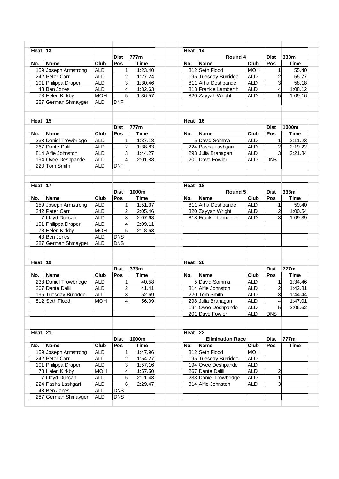| Heat 13                            |                                                                                                                                                                                                                                                                                                                                                                                                              |                                                                                                                                                                                                                                                                          |                                                                                                                                                                                | Heat $\overline{14}$                                                                                                                                                                                  |                         |                                                                                                                                                                                                                                                                                                                               |                                                                                                                                                                                                               |                                                                                                                       |
|------------------------------------|--------------------------------------------------------------------------------------------------------------------------------------------------------------------------------------------------------------------------------------------------------------------------------------------------------------------------------------------------------------------------------------------------------------|--------------------------------------------------------------------------------------------------------------------------------------------------------------------------------------------------------------------------------------------------------------------------|--------------------------------------------------------------------------------------------------------------------------------------------------------------------------------|-------------------------------------------------------------------------------------------------------------------------------------------------------------------------------------------------------|-------------------------|-------------------------------------------------------------------------------------------------------------------------------------------------------------------------------------------------------------------------------------------------------------------------------------------------------------------------------|---------------------------------------------------------------------------------------------------------------------------------------------------------------------------------------------------------------|-----------------------------------------------------------------------------------------------------------------------|
|                                    |                                                                                                                                                                                                                                                                                                                                                                                                              | <b>Dist</b>                                                                                                                                                                                                                                                              | 777m                                                                                                                                                                           |                                                                                                                                                                                                       | Round 4                 |                                                                                                                                                                                                                                                                                                                               | <b>Dist</b>                                                                                                                                                                                                   | 333m                                                                                                                  |
|                                    |                                                                                                                                                                                                                                                                                                                                                                                                              |                                                                                                                                                                                                                                                                          |                                                                                                                                                                                |                                                                                                                                                                                                       |                         |                                                                                                                                                                                                                                                                                                                               |                                                                                                                                                                                                               | <b>Time</b>                                                                                                           |
|                                    |                                                                                                                                                                                                                                                                                                                                                                                                              | $\mathbf{1}$                                                                                                                                                                                                                                                             |                                                                                                                                                                                |                                                                                                                                                                                                       |                         |                                                                                                                                                                                                                                                                                                                               | 1                                                                                                                                                                                                             | 55.40                                                                                                                 |
|                                    |                                                                                                                                                                                                                                                                                                                                                                                                              |                                                                                                                                                                                                                                                                          |                                                                                                                                                                                |                                                                                                                                                                                                       |                         |                                                                                                                                                                                                                                                                                                                               |                                                                                                                                                                                                               | 55.77                                                                                                                 |
|                                    |                                                                                                                                                                                                                                                                                                                                                                                                              |                                                                                                                                                                                                                                                                          |                                                                                                                                                                                |                                                                                                                                                                                                       |                         |                                                                                                                                                                                                                                                                                                                               |                                                                                                                                                                                                               | 58.18                                                                                                                 |
|                                    |                                                                                                                                                                                                                                                                                                                                                                                                              |                                                                                                                                                                                                                                                                          |                                                                                                                                                                                |                                                                                                                                                                                                       |                         |                                                                                                                                                                                                                                                                                                                               |                                                                                                                                                                                                               | 1:08.12                                                                                                               |
|                                    |                                                                                                                                                                                                                                                                                                                                                                                                              |                                                                                                                                                                                                                                                                          |                                                                                                                                                                                |                                                                                                                                                                                                       |                         |                                                                                                                                                                                                                                                                                                                               |                                                                                                                                                                                                               | 1:09.16                                                                                                               |
|                                    |                                                                                                                                                                                                                                                                                                                                                                                                              |                                                                                                                                                                                                                                                                          |                                                                                                                                                                                |                                                                                                                                                                                                       |                         |                                                                                                                                                                                                                                                                                                                               |                                                                                                                                                                                                               |                                                                                                                       |
|                                    |                                                                                                                                                                                                                                                                                                                                                                                                              |                                                                                                                                                                                                                                                                          |                                                                                                                                                                                |                                                                                                                                                                                                       |                         |                                                                                                                                                                                                                                                                                                                               |                                                                                                                                                                                                               |                                                                                                                       |
| Heat 15                            |                                                                                                                                                                                                                                                                                                                                                                                                              |                                                                                                                                                                                                                                                                          |                                                                                                                                                                                |                                                                                                                                                                                                       |                         |                                                                                                                                                                                                                                                                                                                               |                                                                                                                                                                                                               |                                                                                                                       |
|                                    |                                                                                                                                                                                                                                                                                                                                                                                                              | <b>Dist</b>                                                                                                                                                                                                                                                              | 777m                                                                                                                                                                           |                                                                                                                                                                                                       |                         |                                                                                                                                                                                                                                                                                                                               | <b>Dist</b>                                                                                                                                                                                                   | 1000m                                                                                                                 |
| <b>Name</b>                        | Club                                                                                                                                                                                                                                                                                                                                                                                                         | Pos                                                                                                                                                                                                                                                                      | <b>Time</b>                                                                                                                                                                    | No.                                                                                                                                                                                                   | <b>Name</b>             | <b>Club</b>                                                                                                                                                                                                                                                                                                                   | Pos                                                                                                                                                                                                           | <b>Time</b>                                                                                                           |
|                                    |                                                                                                                                                                                                                                                                                                                                                                                                              | 1                                                                                                                                                                                                                                                                        |                                                                                                                                                                                |                                                                                                                                                                                                       |                         |                                                                                                                                                                                                                                                                                                                               | 1                                                                                                                                                                                                             | 2:11.23                                                                                                               |
|                                    |                                                                                                                                                                                                                                                                                                                                                                                                              |                                                                                                                                                                                                                                                                          |                                                                                                                                                                                |                                                                                                                                                                                                       |                         |                                                                                                                                                                                                                                                                                                                               |                                                                                                                                                                                                               | 2:19.22                                                                                                               |
|                                    |                                                                                                                                                                                                                                                                                                                                                                                                              |                                                                                                                                                                                                                                                                          |                                                                                                                                                                                |                                                                                                                                                                                                       |                         |                                                                                                                                                                                                                                                                                                                               |                                                                                                                                                                                                               | 2:21.84                                                                                                               |
|                                    |                                                                                                                                                                                                                                                                                                                                                                                                              |                                                                                                                                                                                                                                                                          |                                                                                                                                                                                |                                                                                                                                                                                                       |                         |                                                                                                                                                                                                                                                                                                                               |                                                                                                                                                                                                               |                                                                                                                       |
|                                    |                                                                                                                                                                                                                                                                                                                                                                                                              |                                                                                                                                                                                                                                                                          |                                                                                                                                                                                |                                                                                                                                                                                                       |                         |                                                                                                                                                                                                                                                                                                                               |                                                                                                                                                                                                               |                                                                                                                       |
|                                    |                                                                                                                                                                                                                                                                                                                                                                                                              |                                                                                                                                                                                                                                                                          |                                                                                                                                                                                |                                                                                                                                                                                                       |                         |                                                                                                                                                                                                                                                                                                                               |                                                                                                                                                                                                               |                                                                                                                       |
| Heat <sup>17</sup>                 |                                                                                                                                                                                                                                                                                                                                                                                                              |                                                                                                                                                                                                                                                                          |                                                                                                                                                                                |                                                                                                                                                                                                       |                         |                                                                                                                                                                                                                                                                                                                               |                                                                                                                                                                                                               |                                                                                                                       |
|                                    |                                                                                                                                                                                                                                                                                                                                                                                                              | <b>Dist</b>                                                                                                                                                                                                                                                              |                                                                                                                                                                                |                                                                                                                                                                                                       |                         |                                                                                                                                                                                                                                                                                                                               | <b>Dist</b>                                                                                                                                                                                                   | 333m                                                                                                                  |
|                                    |                                                                                                                                                                                                                                                                                                                                                                                                              |                                                                                                                                                                                                                                                                          |                                                                                                                                                                                |                                                                                                                                                                                                       |                         |                                                                                                                                                                                                                                                                                                                               |                                                                                                                                                                                                               | <b>Time</b>                                                                                                           |
|                                    |                                                                                                                                                                                                                                                                                                                                                                                                              |                                                                                                                                                                                                                                                                          |                                                                                                                                                                                |                                                                                                                                                                                                       |                         |                                                                                                                                                                                                                                                                                                                               |                                                                                                                                                                                                               | 59.40                                                                                                                 |
|                                    |                                                                                                                                                                                                                                                                                                                                                                                                              |                                                                                                                                                                                                                                                                          |                                                                                                                                                                                |                                                                                                                                                                                                       |                         |                                                                                                                                                                                                                                                                                                                               |                                                                                                                                                                                                               | 1:00.54                                                                                                               |
|                                    |                                                                                                                                                                                                                                                                                                                                                                                                              |                                                                                                                                                                                                                                                                          |                                                                                                                                                                                |                                                                                                                                                                                                       |                         |                                                                                                                                                                                                                                                                                                                               |                                                                                                                                                                                                               | 1:09.39                                                                                                               |
|                                    |                                                                                                                                                                                                                                                                                                                                                                                                              |                                                                                                                                                                                                                                                                          |                                                                                                                                                                                |                                                                                                                                                                                                       |                         |                                                                                                                                                                                                                                                                                                                               |                                                                                                                                                                                                               |                                                                                                                       |
|                                    |                                                                                                                                                                                                                                                                                                                                                                                                              |                                                                                                                                                                                                                                                                          |                                                                                                                                                                                |                                                                                                                                                                                                       |                         |                                                                                                                                                                                                                                                                                                                               |                                                                                                                                                                                                               |                                                                                                                       |
|                                    |                                                                                                                                                                                                                                                                                                                                                                                                              |                                                                                                                                                                                                                                                                          |                                                                                                                                                                                |                                                                                                                                                                                                       |                         |                                                                                                                                                                                                                                                                                                                               |                                                                                                                                                                                                               |                                                                                                                       |
|                                    |                                                                                                                                                                                                                                                                                                                                                                                                              |                                                                                                                                                                                                                                                                          |                                                                                                                                                                                |                                                                                                                                                                                                       |                         |                                                                                                                                                                                                                                                                                                                               |                                                                                                                                                                                                               |                                                                                                                       |
|                                    |                                                                                                                                                                                                                                                                                                                                                                                                              |                                                                                                                                                                                                                                                                          |                                                                                                                                                                                |                                                                                                                                                                                                       |                         |                                                                                                                                                                                                                                                                                                                               |                                                                                                                                                                                                               |                                                                                                                       |
| Heat $19$                          |                                                                                                                                                                                                                                                                                                                                                                                                              |                                                                                                                                                                                                                                                                          |                                                                                                                                                                                |                                                                                                                                                                                                       |                         |                                                                                                                                                                                                                                                                                                                               |                                                                                                                                                                                                               |                                                                                                                       |
|                                    |                                                                                                                                                                                                                                                                                                                                                                                                              | <b>Dist</b>                                                                                                                                                                                                                                                              |                                                                                                                                                                                |                                                                                                                                                                                                       |                         |                                                                                                                                                                                                                                                                                                                               | <b>Dist</b>                                                                                                                                                                                                   |                                                                                                                       |
| <b>Name</b>                        |                                                                                                                                                                                                                                                                                                                                                                                                              |                                                                                                                                                                                                                                                                          |                                                                                                                                                                                |                                                                                                                                                                                                       |                         |                                                                                                                                                                                                                                                                                                                               |                                                                                                                                                                                                               | 777m                                                                                                                  |
|                                    | <b>Club</b>                                                                                                                                                                                                                                                                                                                                                                                                  | Pos                                                                                                                                                                                                                                                                      | Time                                                                                                                                                                           | No.                                                                                                                                                                                                   | <b>Name</b>             | <b>Club</b>                                                                                                                                                                                                                                                                                                                   | Pos                                                                                                                                                                                                           | <b>Time</b>                                                                                                           |
|                                    |                                                                                                                                                                                                                                                                                                                                                                                                              | 1                                                                                                                                                                                                                                                                        |                                                                                                                                                                                |                                                                                                                                                                                                       |                         |                                                                                                                                                                                                                                                                                                                               | 1                                                                                                                                                                                                             |                                                                                                                       |
| 233 Daniel Trowbridge              | <b>ALD</b>                                                                                                                                                                                                                                                                                                                                                                                                   |                                                                                                                                                                                                                                                                          | 40.58                                                                                                                                                                          |                                                                                                                                                                                                       | 5 David Somma           | <b>ALD</b>                                                                                                                                                                                                                                                                                                                    |                                                                                                                                                                                                               |                                                                                                                       |
| 267 Dante Dalili                   | <b>ALD</b>                                                                                                                                                                                                                                                                                                                                                                                                   | 2                                                                                                                                                                                                                                                                        | 41.41                                                                                                                                                                          |                                                                                                                                                                                                       | 814 Alfie Johnston      | <b>ALD</b>                                                                                                                                                                                                                                                                                                                    | $\overline{a}$                                                                                                                                                                                                |                                                                                                                       |
| 195 Tuesday Burridge               | <b>ALD</b>                                                                                                                                                                                                                                                                                                                                                                                                   | $\overline{3}$                                                                                                                                                                                                                                                           | 52.69                                                                                                                                                                          |                                                                                                                                                                                                       | 220 Tom Smith           | <b>ALD</b>                                                                                                                                                                                                                                                                                                                    | 3 <sup>1</sup>                                                                                                                                                                                                |                                                                                                                       |
| 812 Seth Flood                     | <b>MOH</b>                                                                                                                                                                                                                                                                                                                                                                                                   | 4                                                                                                                                                                                                                                                                        | 56.09                                                                                                                                                                          |                                                                                                                                                                                                       | 298 Julia Branagan      | <b>ALD</b>                                                                                                                                                                                                                                                                                                                    | 4                                                                                                                                                                                                             |                                                                                                                       |
|                                    |                                                                                                                                                                                                                                                                                                                                                                                                              |                                                                                                                                                                                                                                                                          |                                                                                                                                                                                |                                                                                                                                                                                                       | 194 Ovee Deshpande      | ALD                                                                                                                                                                                                                                                                                                                           | 5                                                                                                                                                                                                             |                                                                                                                       |
|                                    |                                                                                                                                                                                                                                                                                                                                                                                                              |                                                                                                                                                                                                                                                                          |                                                                                                                                                                                |                                                                                                                                                                                                       | 201 Dave Fowler         | <b>ALD</b>                                                                                                                                                                                                                                                                                                                    | <b>DNS</b>                                                                                                                                                                                                    |                                                                                                                       |
| Heat 21                            |                                                                                                                                                                                                                                                                                                                                                                                                              |                                                                                                                                                                                                                                                                          |                                                                                                                                                                                | Heat $ 22 $                                                                                                                                                                                           |                         |                                                                                                                                                                                                                                                                                                                               |                                                                                                                                                                                                               |                                                                                                                       |
|                                    |                                                                                                                                                                                                                                                                                                                                                                                                              | <b>Dist</b>                                                                                                                                                                                                                                                              | 1000m                                                                                                                                                                          |                                                                                                                                                                                                       | <b>Elimination Race</b> |                                                                                                                                                                                                                                                                                                                               | <b>Dist</b>                                                                                                                                                                                                   | 777m                                                                                                                  |
| <b>Name</b>                        | Club                                                                                                                                                                                                                                                                                                                                                                                                         | Pos                                                                                                                                                                                                                                                                      | <b>Time</b>                                                                                                                                                                    | No.                                                                                                                                                                                                   | <b>Name</b>             | <b>Club</b>                                                                                                                                                                                                                                                                                                                   | Pos                                                                                                                                                                                                           | <b>Time</b>                                                                                                           |
|                                    | <b>ALD</b>                                                                                                                                                                                                                                                                                                                                                                                                   | 1                                                                                                                                                                                                                                                                        | 1:47.96                                                                                                                                                                        |                                                                                                                                                                                                       | 812 Seth Flood          | <b>MOH</b>                                                                                                                                                                                                                                                                                                                    |                                                                                                                                                                                                               |                                                                                                                       |
| 159 Joseph Armstrong               |                                                                                                                                                                                                                                                                                                                                                                                                              |                                                                                                                                                                                                                                                                          |                                                                                                                                                                                |                                                                                                                                                                                                       |                         | <b>ALD</b>                                                                                                                                                                                                                                                                                                                    |                                                                                                                                                                                                               |                                                                                                                       |
| 242 Peter Carr                     | ALD                                                                                                                                                                                                                                                                                                                                                                                                          | 2                                                                                                                                                                                                                                                                        | 1:54.27                                                                                                                                                                        |                                                                                                                                                                                                       | 195 Tuesday Burridge    |                                                                                                                                                                                                                                                                                                                               |                                                                                                                                                                                                               |                                                                                                                       |
| 101 Philippa Draper                | ALD                                                                                                                                                                                                                                                                                                                                                                                                          | 3                                                                                                                                                                                                                                                                        | 1:57.16                                                                                                                                                                        |                                                                                                                                                                                                       | 194 Ovee Deshpande      | ALD                                                                                                                                                                                                                                                                                                                           |                                                                                                                                                                                                               |                                                                                                                       |
| 78 Helen Kirkby                    | <b>MOH</b>                                                                                                                                                                                                                                                                                                                                                                                                   | 4                                                                                                                                                                                                                                                                        | 1:57.50                                                                                                                                                                        |                                                                                                                                                                                                       | 267 Dante Dalili        | <b>ALD</b>                                                                                                                                                                                                                                                                                                                    | 2                                                                                                                                                                                                             | 1:34.46<br>1:42.81<br>1:44.44<br>1:47.01<br>2:06.62                                                                   |
| 7 Lloyd Duncan                     | <b>ALD</b>                                                                                                                                                                                                                                                                                                                                                                                                   | 5                                                                                                                                                                                                                                                                        | 2:11.43                                                                                                                                                                        |                                                                                                                                                                                                       | 233 Daniel Trowbridge   | <b>ALD</b>                                                                                                                                                                                                                                                                                                                    | 1                                                                                                                                                                                                             |                                                                                                                       |
| 224 Pasha Lashgari<br>43 Ben Jones | <b>ALD</b><br><b>ALD</b>                                                                                                                                                                                                                                                                                                                                                                                     | 6<br><b>DNS</b>                                                                                                                                                                                                                                                          | 2:29.47                                                                                                                                                                        |                                                                                                                                                                                                       | 814 Alfie Johnston      | <b>ALD</b>                                                                                                                                                                                                                                                                                                                    | 3                                                                                                                                                                                                             |                                                                                                                       |
|                                    | <b>Name</b><br>159 Joseph Armstrong<br>242 Peter Carr<br>101 Philippa Draper<br>43 Ben Jones<br>78 Helen Kirkby<br>287 German Shmayger<br>233 Daniel Trowbridge<br>267 Dante Dalili<br>814 Alfie Johnston<br>194 Ovee Deshpande<br>220 Tom Smith<br><b>Name</b><br>159 Joseph Armstrong<br>242 Peter Carr<br>7 Lloyd Duncan<br>101 Philippa Draper<br>78 Helen Kirkby<br>43 Ben Jones<br>287 German Shmayger | Club<br><b>ALD</b><br><b>ALD</b><br><b>ALD</b><br><b>ALD</b><br><b>MOH</b><br><b>ALD</b><br><b>ALD</b><br><b>ALD</b><br><b>ALD</b><br><b>ALD</b><br><b>ALD</b><br>Club<br><b>ALD</b><br><b>ALD</b><br><b>ALD</b><br><b>ALD</b><br><b>MOH</b><br><b>ALD</b><br><b>ALD</b> | Pos<br>$\overline{2}$<br>3<br>4<br>5<br><b>DNF</b><br>$\overline{\mathbf{c}}$<br>3<br>4<br><b>DNF</b><br>Pos<br>1<br>$\overline{c}$<br>3<br>4<br>5<br><b>DNS</b><br><b>DNS</b> | <b>Time</b><br>1:23.40<br>1:27.24<br>1:30.46<br>1:32.63<br>1:36.57<br>1:37.18<br>1:38.83<br>1:44.27<br>2:01.88<br>1000m<br><b>Time</b><br>1:51.37<br>2:05.46<br>2:07.68<br>2:09.11<br>2:18.63<br>333m | No.<br>No.              | <b>Name</b><br>812 Seth Flood<br>195 Tuesday Burridge<br>811 Arha Deshpande<br>818 Frankie Lamberth<br>820 Zayyah Wright<br>Heat $16$<br>5 David Somma<br>224 Pasha Lashgari<br>298 Julia Branagan<br>201 Dave Fowler<br>Heat 18<br><b>Name</b><br>811 Arha Deshpande<br>820 Zayyah Wright<br>818 Frankie Lamberth<br>Heat 20 | <b>Club</b><br><b>MOH</b><br><b>ALD</b><br><b>ALD</b><br><b>ALD</b><br><b>ALD</b><br><b>ALD</b><br><b>ALD</b><br><b>ALD</b><br><b>ALD</b><br>Round 5<br><b>Club</b><br><b>ALD</b><br><b>ALD</b><br><b>ALD</b> | Pos<br>$\overline{c}$<br>3<br>4<br>5<br>$\overline{a}$<br>3<br><b>DNS</b><br>Pos<br>1<br>$\overline{\mathbf{c}}$<br>3 |